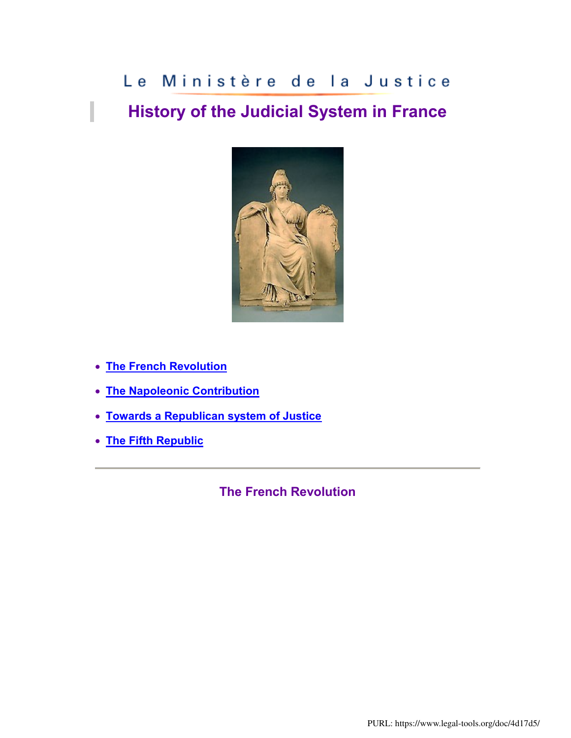# Le Ministère de la Justice

# **History of the Judicial System in France**



**[The French Revolution](http://www.justice.gouv.fr/anglais/minister/histo.htm#REVOLUTION#REVOLUTION)**

I

- **[The Napoleonic Contribution](http://www.justice.gouv.fr/anglais/minister/histo.htm#OEUVRE#OEUVRE)**
- **[Towards a Republican system of Justice](http://www.justice.gouv.fr/anglais/minister/histo.htm#JUSTICE#JUSTICE)**
- **[The Fifth Republic](http://www.justice.gouv.fr/anglais/minister/histo.htm#CINQ#CINQ)**

**The French Revolution**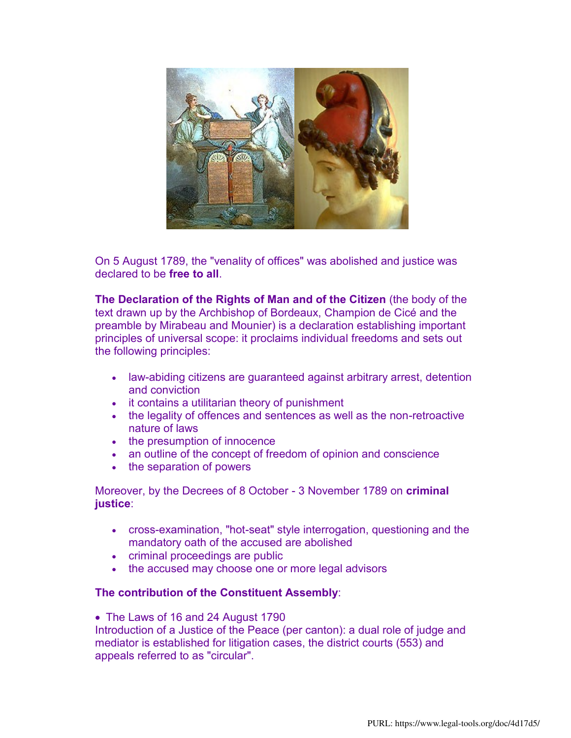

On 5 August 1789, the "venality of offices" was abolished and justice was declared to be **free to all**.

**The Declaration of the Rights of Man and of the Citizen** (the body of the text drawn up by the Archbishop of Bordeaux, Champion de Cicé and the preamble by Mirabeau and Mounier) is a declaration establishing important principles of universal scope: it proclaims individual freedoms and sets out the following principles:

- law-abiding citizens are guaranteed against arbitrary arrest, detention and conviction
- it contains a utilitarian theory of punishment
- the legality of offences and sentences as well as the non-retroactive nature of laws
- the presumption of innocence
- an outline of the concept of freedom of opinion and conscience
- the separation of powers

Moreover, by the Decrees of 8 October - 3 November 1789 on **criminal justice**:

- cross-examination, "hot-seat" style interrogation, questioning and the mandatory oath of the accused are abolished
- criminal proceedings are public
- the accused may choose one or more legal advisors

#### **The contribution of the Constituent Assembly**:

• The Laws of 16 and 24 August 1790

Introduction of a Justice of the Peace (per canton): a dual role of judge and mediator is established for litigation cases, the district courts (553) and appeals referred to as "circular".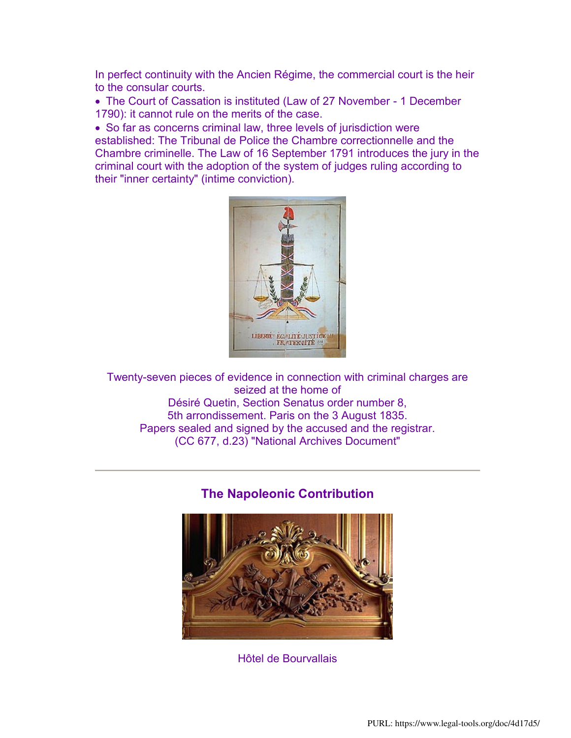In perfect continuity with the Ancien Régime, the commercial court is the heir to the consular courts.

 The Court of Cassation is instituted (Law of 27 November - 1 December 1790): it cannot rule on the merits of the case.

 So far as concerns criminal law, three levels of jurisdiction were established: The Tribunal de Police the Chambre correctionnelle and the Chambre criminelle. The Law of 16 September 1791 introduces the jury in the criminal court with the adoption of the system of judges ruling according to their "inner certainty" (intime conviction).



Twenty-seven pieces of evidence in connection with criminal charges are seized at the home of Désiré Quetin, Section Senatus order number 8, 5th arrondissement. Paris on the 3 August 1835. Papers sealed and signed by the accused and the registrar. (CC 677, d.23) "National Archives Document"

### **The Napoleonic Contribution**



Hôtel de Bourvallais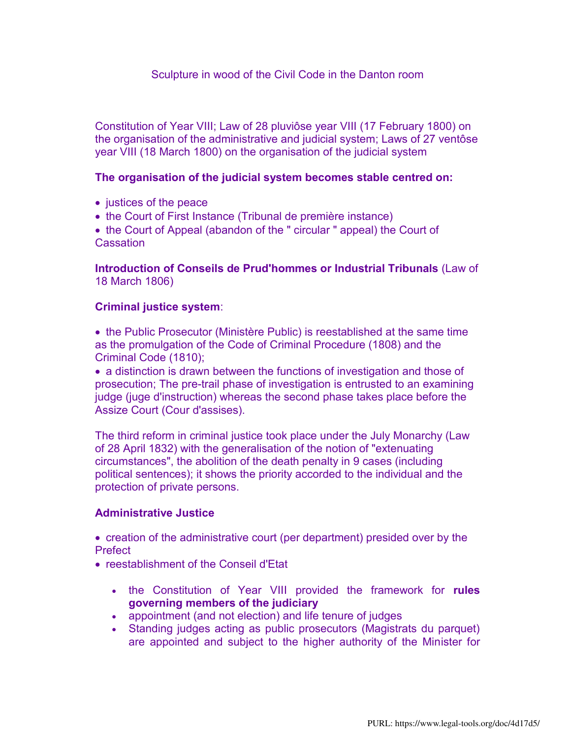#### Sculpture in wood of the Civil Code in the Danton room

Constitution of Year VIII; Law of 28 pluviôse year VIII (17 February 1800) on the organisation of the administrative and judicial system; Laws of 27 ventôse year VIII (18 March 1800) on the organisation of the judicial system

#### **The organisation of the judicial system becomes stable centred on:**

- justices of the peace
- the Court of First Instance (Tribunal de première instance)

• the Court of Appeal (abandon of the " circular " appeal) the Court of **Cassation** 

**Introduction of Conseils de Prud'hommes or Industrial Tribunals** (Law of 18 March 1806)

#### **Criminal justice system**:

 the Public Prosecutor (Ministère Public) is reestablished at the same time as the promulgation of the Code of Criminal Procedure (1808) and the Criminal Code (1810);

• a distinction is drawn between the functions of investigation and those of prosecution; The pre-trail phase of investigation is entrusted to an examining judge (juge d'instruction) whereas the second phase takes place before the Assize Court (Cour d'assises).

The third reform in criminal justice took place under the July Monarchy (Law of 28 April 1832) with the generalisation of the notion of "extenuating circumstances", the abolition of the death penalty in 9 cases (including political sentences); it shows the priority accorded to the individual and the protection of private persons.

#### **Administrative Justice**

• creation of the administrative court (per department) presided over by the **Prefect** 

- reestablishment of the Conseil d'Etat
	- the Constitution of Year VIII provided the framework for **rules governing members of the judiciary**
	- appointment (and not election) and life tenure of judges
	- Standing judges acting as public prosecutors (Magistrats du parquet) are appointed and subject to the higher authority of the Minister for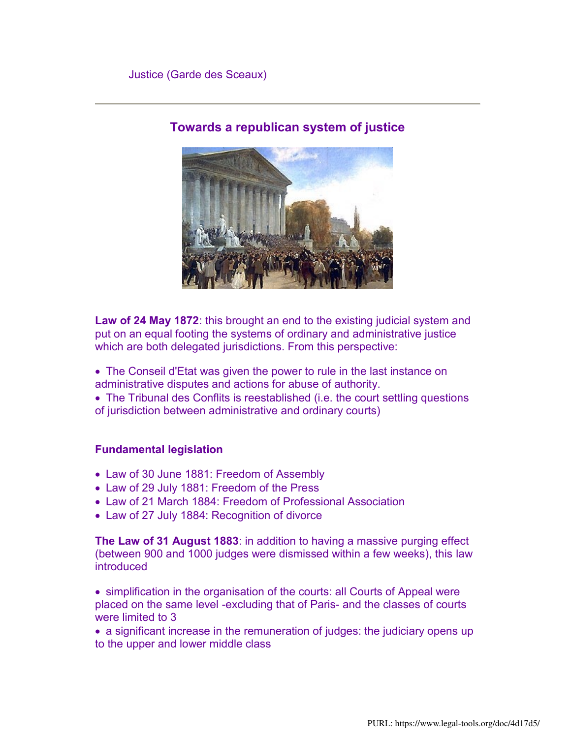

## **Towards a republican system of justice**

**Law of 24 May 1872**: this brought an end to the existing judicial system and put on an equal footing the systems of ordinary and administrative justice which are both delegated jurisdictions. From this perspective:

- The Conseil d'Etat was given the power to rule in the last instance on administrative disputes and actions for abuse of authority.
- The Tribunal des Conflits is reestablished (i.e. the court settling questions of jurisdiction between administrative and ordinary courts)

#### **Fundamental legislation**

- Law of 30 June 1881: Freedom of Assembly
- Law of 29 July 1881: Freedom of the Press
- Law of 21 March 1884: Freedom of Professional Association
- Law of 27 July 1884: Recognition of divorce

**The Law of 31 August 1883**: in addition to having a massive purging effect (between 900 and 1000 judges were dismissed within a few weeks), this law introduced

 simplification in the organisation of the courts: all Courts of Appeal were placed on the same level -excluding that of Paris- and the classes of courts were limited to 3

 a significant increase in the remuneration of judges: the judiciary opens up to the upper and lower middle class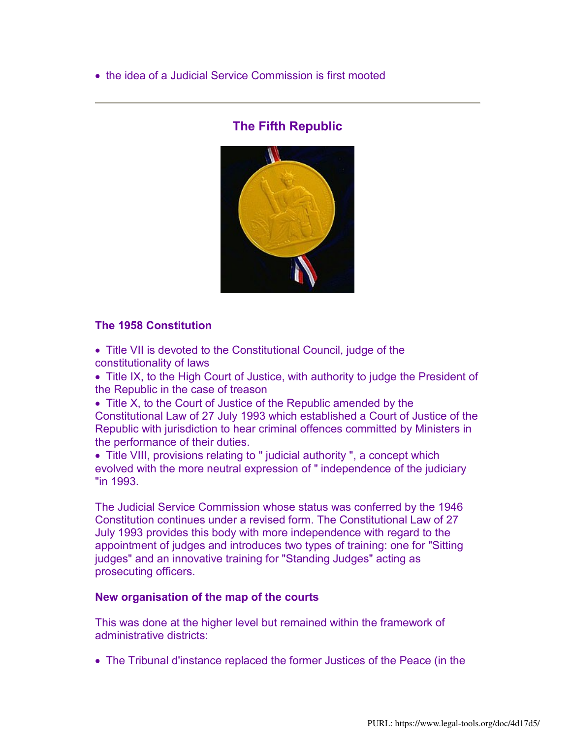• the idea of a Judicial Service Commission is first mooted

## **The Fifth Republic**



#### **The 1958 Constitution**

- Title VII is devoted to the Constitutional Council, judge of the constitutionality of laws
- Title IX, to the High Court of Justice, with authority to judge the President of the Republic in the case of treason
- Title X, to the Court of Justice of the Republic amended by the Constitutional Law of 27 July 1993 which established a Court of Justice of the Republic with jurisdiction to hear criminal offences committed by Ministers in the performance of their duties.
- Title VIII, provisions relating to " judicial authority ", a concept which evolved with the more neutral expression of " independence of the judiciary "in 1993.

The Judicial Service Commission whose status was conferred by the 1946 Constitution continues under a revised form. The Constitutional Law of 27 July 1993 provides this body with more independence with regard to the appointment of judges and introduces two types of training: one for "Sitting judges" and an innovative training for "Standing Judges" acting as prosecuting officers.

#### **New organisation of the map of the courts**

This was done at the higher level but remained within the framework of administrative districts:

The Tribunal d'instance replaced the former Justices of the Peace (in the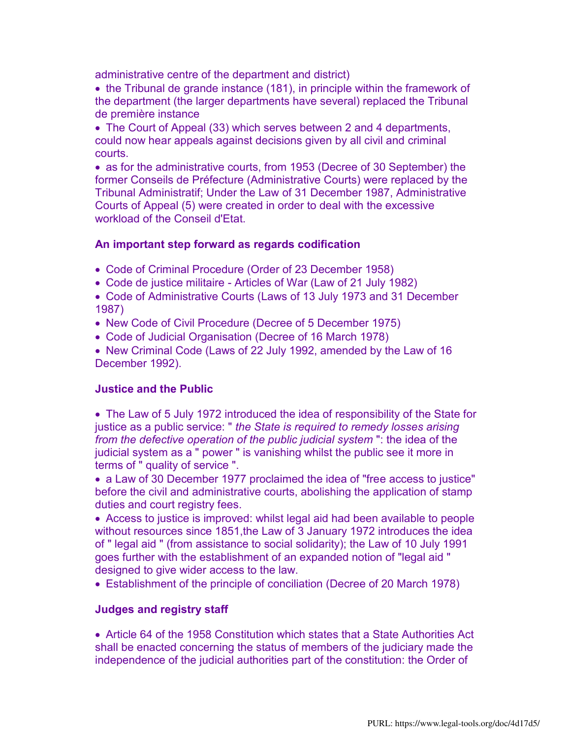administrative centre of the department and district)

• the Tribunal de grande instance (181), in principle within the framework of the department (the larger departments have several) replaced the Tribunal de première instance

 The Court of Appeal (33) which serves between 2 and 4 departments, could now hear appeals against decisions given by all civil and criminal courts.

 as for the administrative courts, from 1953 (Decree of 30 September) the former Conseils de Préfecture (Administrative Courts) were replaced by the Tribunal Administratif; Under the Law of 31 December 1987, Administrative Courts of Appeal (5) were created in order to deal with the excessive workload of the Conseil d'Etat.

#### **An important step forward as regards codification**

- Code of Criminal Procedure (Order of 23 December 1958)
- Code de justice militaire Articles of War (Law of 21 July 1982)
- Code of Administrative Courts (Laws of 13 July 1973 and 31 December 1987)
- New Code of Civil Procedure (Decree of 5 December 1975)
- Code of Judicial Organisation (Decree of 16 March 1978)
- New Criminal Code (Laws of 22 July 1992, amended by the Law of 16 December 1992).

#### **Justice and the Public**

• The Law of 5 July 1972 introduced the idea of responsibility of the State for justice as a public service: " *the State is required to remedy losses arising from the defective operation of the public judicial system* ": the idea of the judicial system as a " power " is vanishing whilst the public see it more in terms of " quality of service ".

 a Law of 30 December 1977 proclaimed the idea of "free access to justice" before the civil and administrative courts, abolishing the application of stamp duties and court registry fees.

 Access to justice is improved: whilst legal aid had been available to people without resources since 1851,the Law of 3 January 1972 introduces the idea of " legal aid " (from assistance to social solidarity); the Law of 10 July 1991 goes further with the establishment of an expanded notion of "legal aid " designed to give wider access to the law.

Establishment of the principle of conciliation (Decree of 20 March 1978)

#### **Judges and registry staff**

 Article 64 of the 1958 Constitution which states that a State Authorities Act shall be enacted concerning the status of members of the judiciary made the independence of the judicial authorities part of the constitution: the Order of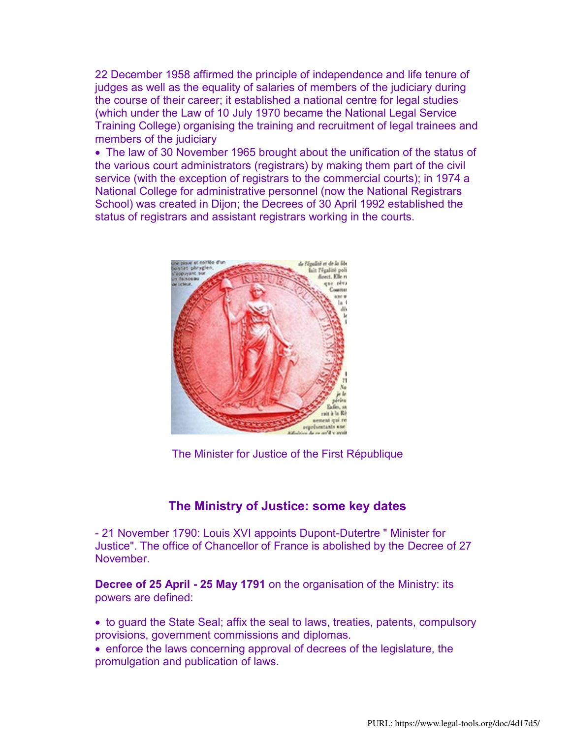22 December 1958 affirmed the principle of independence and life tenure of judges as well as the equality of salaries of members of the judiciary during the course of their career; it established a national centre for legal studies (which under the Law of 10 July 1970 became the National Legal Service Training College) organising the training and recruitment of legal trainees and members of the judiciary

• The law of 30 November 1965 brought about the unification of the status of the various court administrators (registrars) by making them part of the civil service (with the exception of registrars to the commercial courts); in 1974 a National College for administrative personnel (now the National Registrars School) was created in Dijon; the Decrees of 30 April 1992 established the status of registrars and assistant registrars working in the courts.



The Minister for Justice of the First République

### **The Ministry of Justice: some key dates**

- 21 November 1790: Louis XVI appoints Dupont-Dutertre " Minister for Justice". The office of Chancellor of France is abolished by the Decree of 27 November.

**Decree of 25 April - 25 May 1791** on the organisation of the Ministry: its powers are defined:

- to guard the State Seal; affix the seal to laws, treaties, patents, compulsory provisions, government commissions and diplomas.
- enforce the laws concerning approval of decrees of the legislature, the promulgation and publication of laws.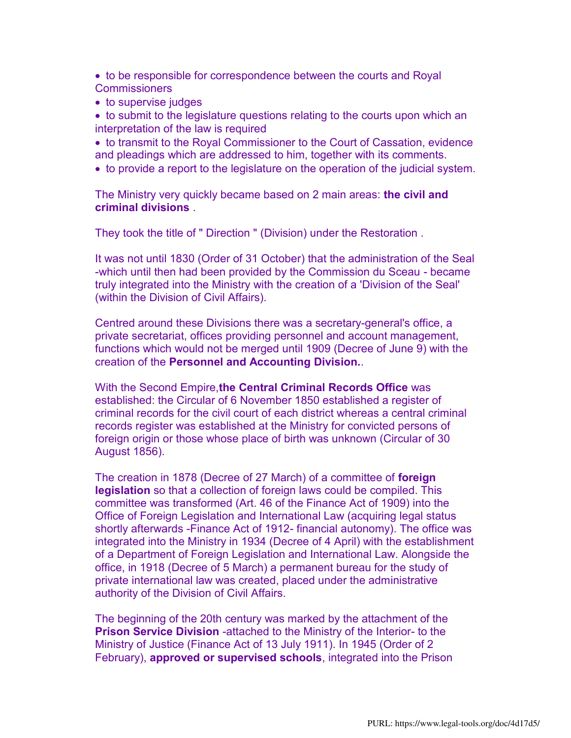to be responsible for correspondence between the courts and Royal **Commissioners** 

• to supervise judges

• to submit to the legislature questions relating to the courts upon which an interpretation of the law is required

• to transmit to the Royal Commissioner to the Court of Cassation, evidence and pleadings which are addressed to him, together with its comments.

to provide a report to the legislature on the operation of the judicial system.

The Ministry very quickly became based on 2 main areas: **the civil and criminal divisions** .

They took the title of " Direction " (Division) under the Restoration .

It was not until 1830 (Order of 31 October) that the administration of the Seal -which until then had been provided by the Commission du Sceau - became truly integrated into the Ministry with the creation of a 'Division of the Seal' (within the Division of Civil Affairs).

Centred around these Divisions there was a secretary-general's office, a private secretariat, offices providing personnel and account management, functions which would not be merged until 1909 (Decree of June 9) with the creation of the **Personnel and Accounting Division.**.

With the Second Empire,**the Central Criminal Records Office** was established: the Circular of 6 November 1850 established a register of criminal records for the civil court of each district whereas a central criminal records register was established at the Ministry for convicted persons of foreign origin or those whose place of birth was unknown (Circular of 30 August 1856).

The creation in 1878 (Decree of 27 March) of a committee of **foreign legislation** so that a collection of foreign laws could be compiled. This committee was transformed (Art. 46 of the Finance Act of 1909) into the Office of Foreign Legislation and International Law (acquiring legal status shortly afterwards -Finance Act of 1912- financial autonomy). The office was integrated into the Ministry in 1934 (Decree of 4 April) with the establishment of a Department of Foreign Legislation and International Law. Alongside the office, in 1918 (Decree of 5 March) a permanent bureau for the study of private international law was created, placed under the administrative authority of the Division of Civil Affairs.

The beginning of the 20th century was marked by the attachment of the **Prison Service Division** -attached to the Ministry of the Interior- to the Ministry of Justice (Finance Act of 13 July 1911). In 1945 (Order of 2 February), **approved or supervised schools**, integrated into the Prison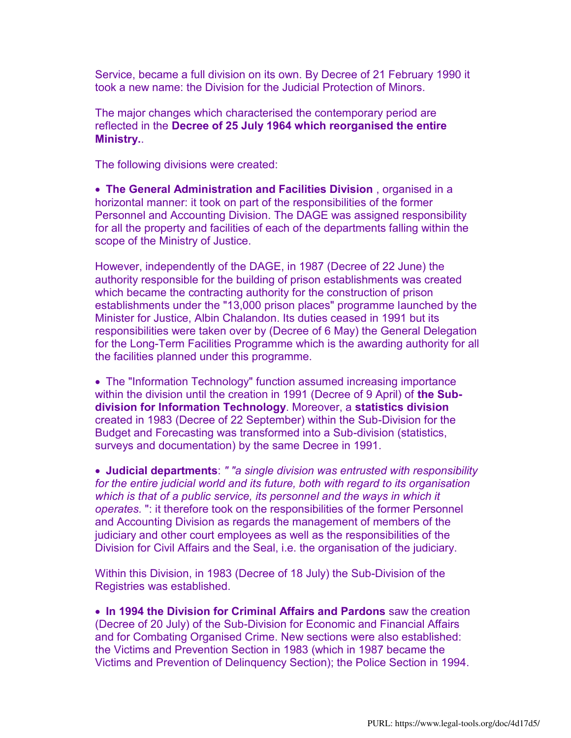Service, became a full division on its own. By Decree of 21 February 1990 it took a new name: the Division for the Judicial Protection of Minors.

The major changes which characterised the contemporary period are reflected in the **Decree of 25 July 1964 which reorganised the entire Ministry.**.

The following divisions were created:

 **The General Administration and Facilities Division** , organised in a horizontal manner: it took on part of the responsibilities of the former Personnel and Accounting Division. The DAGE was assigned responsibility for all the property and facilities of each of the departments falling within the scope of the Ministry of Justice.

However, independently of the DAGE, in 1987 (Decree of 22 June) the authority responsible for the building of prison establishments was created which became the contracting authority for the construction of prison establishments under the "13,000 prison places" programme launched by the Minister for Justice, Albin Chalandon. Its duties ceased in 1991 but its responsibilities were taken over by (Decree of 6 May) the General Delegation for the Long-Term Facilities Programme which is the awarding authority for all the facilities planned under this programme.

 The "Information Technology" function assumed increasing importance within the division until the creation in 1991 (Decree of 9 April) of **the Subdivision for Information Technology**. Moreover, a **statistics division** created in 1983 (Decree of 22 September) within the Sub-Division for the Budget and Forecasting was transformed into a Sub-division (statistics, surveys and documentation) by the same Decree in 1991.

 **Judicial departments**: *" "a single division was entrusted with responsibility for the entire judicial world and its future, both with regard to its organisation*  which is that of a public service, its personnel and the ways in which it *operates.* ": it therefore took on the responsibilities of the former Personnel and Accounting Division as regards the management of members of the judiciary and other court employees as well as the responsibilities of the Division for Civil Affairs and the Seal, i.e. the organisation of the judiciary.

Within this Division, in 1983 (Decree of 18 July) the Sub-Division of the Registries was established.

 **In 1994 the Division for Criminal Affairs and Pardons** saw the creation (Decree of 20 July) of the Sub-Division for Economic and Financial Affairs and for Combating Organised Crime. New sections were also established: the Victims and Prevention Section in 1983 (which in 1987 became the Victims and Prevention of Delinquency Section); the Police Section in 1994.